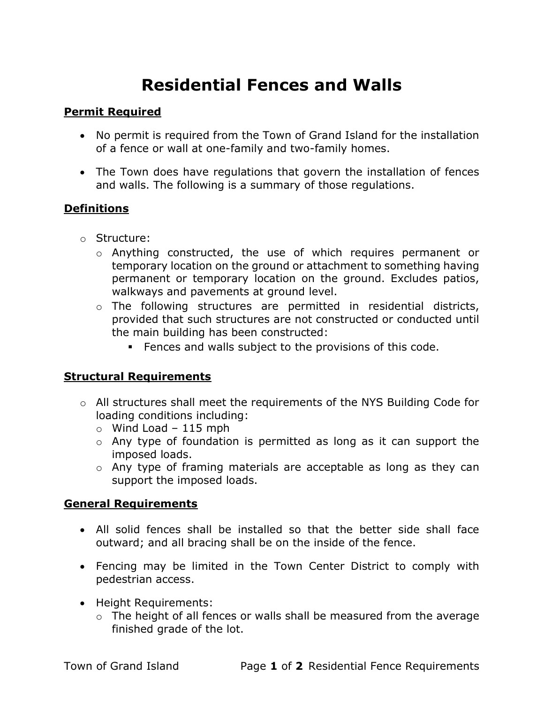# Residential Fences and Walls

## Permit Required

- No permit is required from the Town of Grand Island for the installation of a fence or wall at one-family and two-family homes.
- The Town does have regulations that govern the installation of fences and walls. The following is a summary of those regulations.

### **Definitions**

- o Structure:
	- o Anything constructed, the use of which requires permanent or temporary location on the ground or attachment to something having permanent or temporary location on the ground. Excludes patios, walkways and pavements at ground level.
	- o The following structures are permitted in residential districts, provided that such structures are not constructed or conducted until the main building has been constructed:
		- **Fences and walls subject to the provisions of this code.**

### Structural Requirements

- o All structures shall meet the requirements of the NYS Building Code for loading conditions including:
	- $\circ$  Wind Load 115 mph
	- o Any type of foundation is permitted as long as it can support the imposed loads.
	- o Any type of framing materials are acceptable as long as they can support the imposed loads.

### General Requirements

- All solid fences shall be installed so that the better side shall face outward; and all bracing shall be on the inside of the fence.
- Fencing may be limited in the Town Center District to comply with pedestrian access.
- Height Requirements:
	- $\circ$  The height of all fences or walls shall be measured from the average finished grade of the lot.